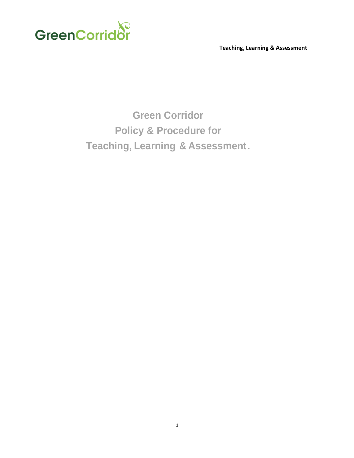

 **Teaching, Learning & Assessment**

**Green Corridor Policy & Procedure for Teaching, Learning & Assessment.**

1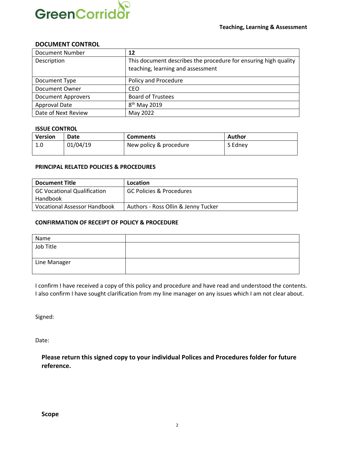

#### **DOCUMENT CONTROL**

| <b>Document Number</b>    | 12                                                              |
|---------------------------|-----------------------------------------------------------------|
| Description               | This document describes the procedure for ensuring high quality |
|                           | teaching, learning and assessment                               |
| Document Type             | Policy and Procedure                                            |
| Document Owner            | <b>CEO</b>                                                      |
| <b>Document Approvers</b> | <b>Board of Trustees</b>                                        |
| Approval Date             | 8 <sup>th</sup> May 2019                                        |
| Date of Next Review       | May 2022                                                        |

#### **ISSUE CONTROL**

| <b>Version</b> | Date     | <b>Comments</b>        | Author  |
|----------------|----------|------------------------|---------|
| 1.0            | 01/04/19 | New policy & procedure | S Edney |

#### **PRINCIPAL RELATED POLICIES & PROCEDURES**

| <b>Document Title</b>              | Location                            |
|------------------------------------|-------------------------------------|
| <b>GC Vocational Qualification</b> | GC Policies & Procedures            |
| Handbook                           |                                     |
| Vocational Assessor Handbook       | Authors - Ross Ollin & Jenny Tucker |

#### **CONFIRMATION OF RECEIPT OF POLICY & PROCEDURE**

| Name         |  |
|--------------|--|
| Job Title    |  |
| Line Manager |  |

I confirm I have received a copy of this policy and procedure and have read and understood the contents. I also confirm I have sought clarification from my line manager on any issues which I am not clear about.

Signed:

Date:

**Please return this signed copy to your individual Polices and Procedures folder for future reference.**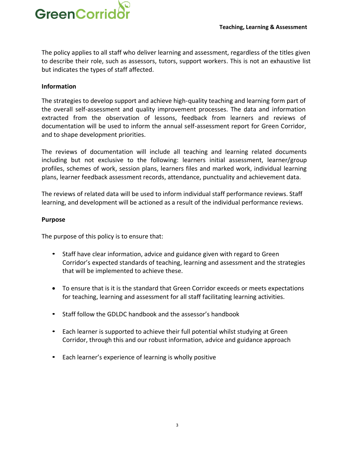

The policy applies to all staff who deliver learning and assessment, regardless of the titles given to describe their role, such as assessors, tutors, support workers. This is not an exhaustive list but indicates the types of staff affected.

### **Information**

The strategies to develop support and achieve high-quality teaching and learning form part of the overall self-assessment and quality improvement processes. The data and information extracted from the observation of lessons, feedback from learners and reviews of documentation will be used to inform the annual self-assessment report for Green Corridor, and to shape development priorities.

The reviews of documentation will include all teaching and learning related documents including but not exclusive to the following: learners initial assessment, learner/group profiles, schemes of work, session plans, learners files and marked work, individual learning plans, learner feedback assessment records, attendance, punctuality and achievement data.

The reviews of related data will be used to inform individual staff performance reviews. Staff learning, and development will be actioned as a result of the individual performance reviews.

#### **Purpose**

The purpose of this policy is to ensure that:

- Staff have clear information, advice and guidance given with regard to Green Corridor's expected standards of teaching, learning and assessment and the strategies that will be implemented to achieve these.
- To ensure that is it is the standard that Green Corridor exceeds or meets expectations for teaching, learning and assessment for all staff facilitating learning activities.
- Staff follow the GDLDC handbook and the assessor's handbook
- Each learner is supported to achieve their full potential whilst studying at Green Corridor, through this and our robust information, advice and guidance approach
- Each learner's experience of learning is wholly positive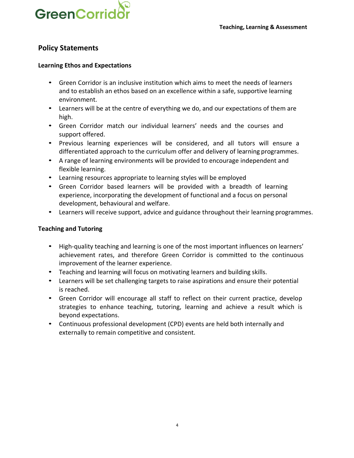

# **Policy Statements**

### **Learning Ethos and Expectations**

- Green Corridor is an inclusive institution which aims to meet the needs of learners and to establish an ethos based on an excellence within a safe, supportive learning environment.
- Learners will be at the centre of everything we do, and our expectations of them are high.
- Green Corridor match our individual learners' needs and the courses and support offered.
- Previous learning experiences will be considered, and all tutors will ensure a differentiated approach to the curriculum offer and delivery of learning programmes.
- A range of learning environments will be provided to encourage independent and flexible learning.
- Learning resources appropriate to learning styles will be employed
- Green Corridor based learners will be provided with a breadth of learning experience, incorporating the development of functional and a focus on personal development, behavioural and welfare.
- Learners will receive support, advice and guidance throughout their learning programmes.

### **Teaching and Tutoring**

- High-quality teaching and learning is one of the most important influences on learners' achievement rates, and therefore Green Corridor is committed to the continuous improvement of the learner experience.
- Teaching and learning will focus on motivating learners and building skills.
- Learners will be set challenging targets to raise aspirations and ensure their potential is reached.
- Green Corridor will encourage all staff to reflect on their current practice, develop strategies to enhance teaching, tutoring, learning and achieve a result which is beyond expectations.
- Continuous professional development (CPD) events are held both internally and externally to remain competitive and consistent.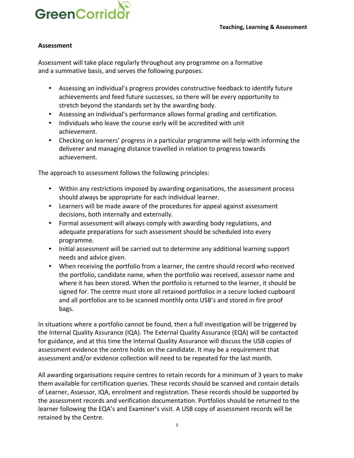

### **Assessment**

Assessment will take place regularly throughout any programme on a formative and a summative basis, and serves the following purposes:

- Assessing an individual's progress provides constructive feedback to identify future achievements and feed future successes, so there will be every opportunity to stretch beyond the standards set by the awarding body.
- Assessing an individual's performance allows formal grading and certification.
- Individuals who leave the course early will be accredited with unit achievement.
- Checking on learners' progress in a particular programme will help with informing the deliverer and managing distance travelled in relation to progress towards achievement.

The approach to assessment follows the following principles:

- Within any restrictions imposed by awarding organisations, the assessment process should always be appropriate for each individual learner.
- Learners will be made aware of the procedures for appeal against assessment decisions, both internally and externally.
- Formal assessment will always comply with awarding body regulations, and adequate preparations for such assessment should be scheduled into every programme.
- Initial assessment will be carried out to determine any additional learning support needs and advice given.
- When receiving the portfolio from a learner, the centre should record who received the portfolio, candidate name, when the portfolio was received, assessor name and where it has been stored. When the portfolio is returned to the learner, it should be signed for. The centre must store all retained portfolios in a secure locked cupboard and all portfolios are to be scanned monthly onto USB's and stored in fire proof bags.

In situations where a portfolio cannot be found, then a full investigation will be triggered by the Internal Quality Assurance (IQA). The External Quality Assurance (EQA) will be contacted for guidance, and at this time the Internal Quality Assurance will discuss the USB copies of assessment evidence the centre holds on the candidate. It may be a requirement that assessment and/or evidence collection will need to be repeated for the last month.

All awarding organisations require centres to retain records for a minimum of 3 years to make them available for certification queries. These records should be scanned and contain details of Learner, Assessor, IQA, enrolment and registration. These records should be supported by the assessment records and verification documentation. Portfolios should be returned to the learner following the EQA's and Examiner's visit. A USB copy of assessment records will be retained by the Centre.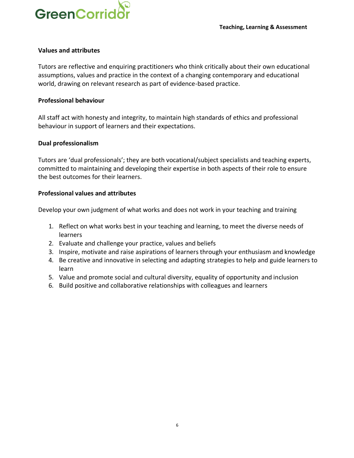

#### **Values and attributes**

Tutors are reflective and enquiring practitioners who think critically about their own educational assumptions, values and practice in the context of a changing contemporary and educational world, drawing on relevant research as part of evidence-based practice.

#### **Professional behaviour**

All staff act with honesty and integrity, to maintain high standards of ethics and professional behaviour in support of learners and their expectations.

### **Dual professionalism**

Tutors are 'dual professionals'; they are both vocational/subject specialists and teaching experts, committed to maintaining and developing their expertise in both aspects of their role to ensure the best outcomes for their learners.

### **Professional values and attributes**

Develop your own judgment of what works and does not work in your teaching and training

- 1. Reflect on what works best in your teaching and learning, to meet the diverse needs of learners
- 2. Evaluate and challenge your practice, values and beliefs
- 3. Inspire, motivate and raise aspirations of learners through your enthusiasm and knowledge
- 4. Be creative and innovative in selecting and adapting strategies to help and guide learners to learn
- 5. Value and promote social and cultural diversity, equality of opportunity and inclusion
- 6. Build positive and collaborative relationships with colleagues and learners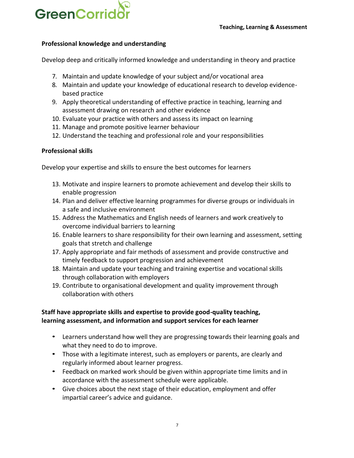

### **Professional knowledge and understanding**

Develop deep and critically informed knowledge and understanding in theory and practice

- 7. Maintain and update knowledge of your subject and/or vocational area
- 8. Maintain and update your knowledge of educational research to develop evidencebased practice
- 9. Apply theoretical understanding of effective practice in teaching, learning and assessment drawing on research and other evidence
- 10. Evaluate your practice with others and assess its impact on learning
- 11. Manage and promote positive learner behaviour
- 12. Understand the teaching and professional role and your responsibilities

#### **Professional skills**

Develop your expertise and skills to ensure the best outcomes for learners

- 13. Motivate and inspire learners to promote achievement and develop their skills to enable progression
- 14. Plan and deliver effective learning programmes for diverse groups or individuals in a safe and inclusive environment
- 15. Address the Mathematics and English needs of learners and work creatively to overcome individual barriers to learning
- 16. Enable learners to share responsibility for their own learning and assessment, setting goals that stretch and challenge
- 17. Apply appropriate and fair methods of assessment and provide constructive and timely feedback to support progression and achievement
- 18. Maintain and update your teaching and training expertise and vocational skills through collaboration with employers
- 19. Contribute to organisational development and quality improvement through collaboration with others

## **Staff have appropriate skills and expertise to provide good-quality teaching, learning assessment, and information and support services for each learner**

- Learners understand how well they are progressing towards their learning goals and what they need to do to improve.
- Those with a legitimate interest, such as employers or parents, are clearly and regularly informed about learner progress.
- Feedback on marked work should be given within appropriate time limits and in accordance with the assessment schedule were applicable.
- Give choices about the next stage of their education, employment and offer impartial career's advice and guidance.